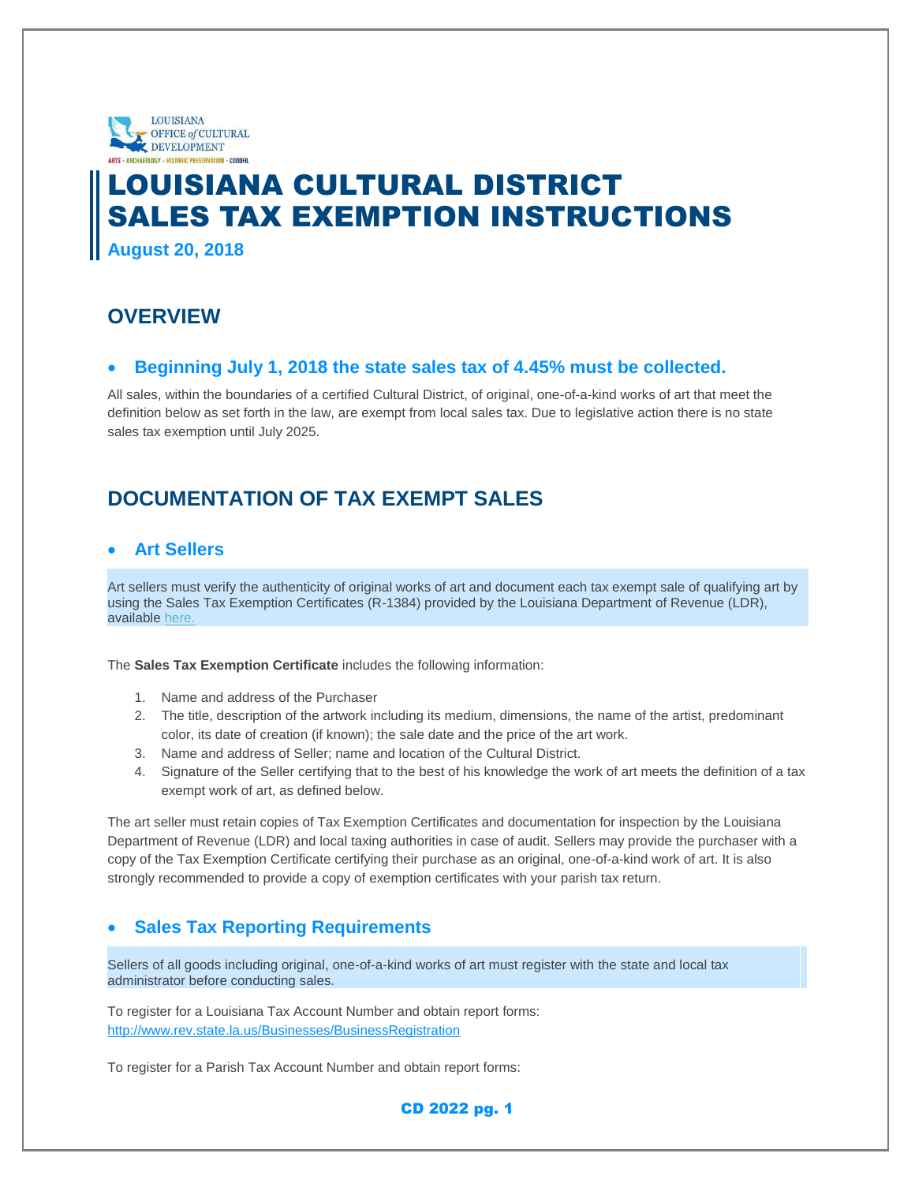

# LOUISIANA CULTURAL DISTRICT SALES TAX EXEMPTION INSTRUCTIONS **August 20, 2018**

### **OVERVIEW**

#### **Beginning July 1, 2018 the state sales tax of 4.45% must be collected.**

All sales, within the boundaries of a certified Cultural District, of original, one-of-a-kind works of art that meet the definition below as set forth in the law, are exempt from local sales tax. Due to legislative action there is no state sales tax exemption until July 2025.

# **DOCUMENTATION OF TAX EXEMPT SALES**

#### **Art Sellers**

Art sellers must verify the authenticity of original works of art and document each tax exempt sale of qualifying art by using the Sales Tax Exemption Certificates (R-1384) provided by the Louisiana Department of Revenue (LDR), available [here.](http://www.revenue.louisiana.gov/TaxForms/1384(6_08)F.pdf)

The **Sales Tax Exemption Certificate** includes the following information:

- 1. Name and address of the Purchaser
- 2. The title, description of the artwork including its medium, dimensions, the name of the artist, predominant color, its date of creation (if known); the sale date and the price of the art work.
- 3. Name and address of Seller; name and location of the Cultural District.
- 4. Signature of the Seller certifying that to the best of his knowledge the work of art meets the definition of a tax exempt work of art, as defined below.

The art seller must retain copies of Tax Exemption Certificates and documentation for inspection by the Louisiana Department of Revenue (LDR) and local taxing authorities in case of audit. Sellers may provide the purchaser with a copy of the Tax Exemption Certificate certifying their purchase as an original, one-of-a-kind work of art. It is also strongly recommended to provide a copy of exemption certificates with your parish tax return.

#### **Sales Tax Reporting Requirements**

Sellers of all goods including original, one-of-a-kind works of art must register with the state and local tax administrator before conducting sales.

To register for a Louisiana Tax Account Number and obtain report forms: <http://www.rev.state.la.us/Businesses/BusinessRegistration>

To register for a Parish Tax Account Number and obtain report forms:

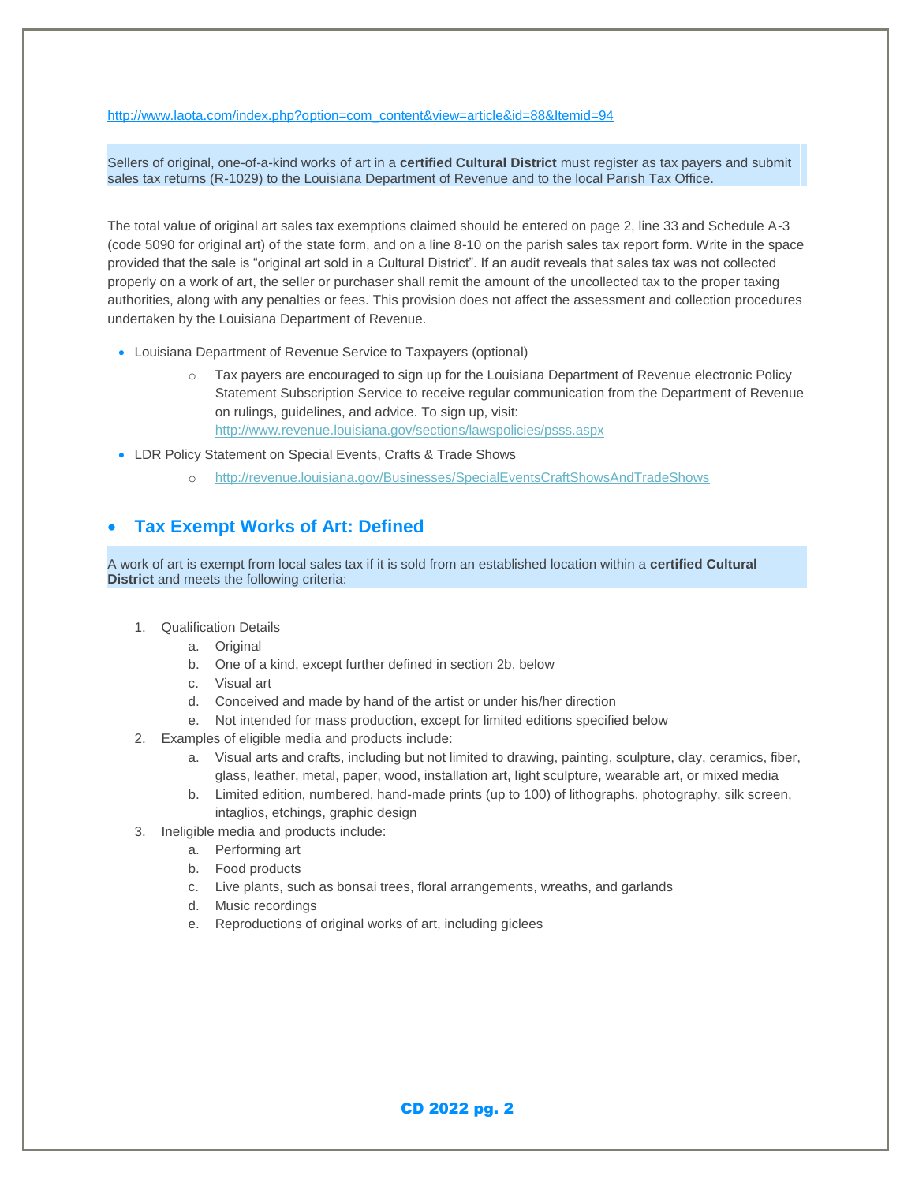#### [http://www.laota.com/index.php?option=com\\_content&view=article&id=88&Itemid=94](http://www.laota.com/index.php?option=com_content&view=article&id=88&Itemid=94)

Sellers of original, one-of-a-kind works of art in a **certified Cultural District** must register as tax payers and submit sales tax returns (R-1029) to the Louisiana Department of Revenue and to the local Parish Tax Office.

The total value of original art sales tax exemptions claimed should be entered on page 2, line 33 and Schedule A-3 (code 5090 for original art) of the state form, and on a line 8-10 on the parish sales tax report form. Write in the space provided that the sale is "original art sold in a Cultural District". If an audit reveals that sales tax was not collected properly on a work of art, the seller or purchaser shall remit the amount of the uncollected tax to the proper taxing authorities, along with any penalties or fees. This provision does not affect the assessment and collection procedures undertaken by the Louisiana Department of Revenue.

- Louisiana Department of Revenue Service to Taxpayers (optional)
	- o Tax payers are encouraged to sign up for the Louisiana Department of Revenue electronic Policy Statement Subscription Service to receive regular communication from the Department of Revenue on rulings, guidelines, and advice. To sign up, visit: <http://www.revenue.louisiana.gov/sections/lawspolicies/psss.aspx>
- LDR Policy Statement on Special Events, Crafts & Trade Shows
	- o <http://revenue.louisiana.gov/Businesses/SpecialEventsCraftShowsAndTradeShows>

#### **Tax Exempt Works of Art: Defined**

A work of art is exempt from local sales tax if it is sold from an established location within a **certified Cultural District** and meets the following criteria:

- 1. Qualification Details
	- a. Original
	- b. One of a kind, except further defined in section 2b, below
	- c. Visual art
	- d. Conceived and made by hand of the artist or under his/her direction
	- e. Not intended for mass production, except for limited editions specified below
- 2. Examples of eligible media and products include:
	- a. Visual arts and crafts, including but not limited to drawing, painting, sculpture, clay, ceramics, fiber, glass, leather, metal, paper, wood, installation art, light sculpture, wearable art, or mixed media
	- b. Limited edition, numbered, hand-made prints (up to 100) of lithographs, photography, silk screen, intaglios, etchings, graphic design
- 3. Ineligible media and products include:
	- a. Performing art
	- b. Food products
	- c. Live plants, such as bonsai trees, floral arrangements, wreaths, and garlands
	- d. Music recordings
	- e. Reproductions of original works of art, including giclees